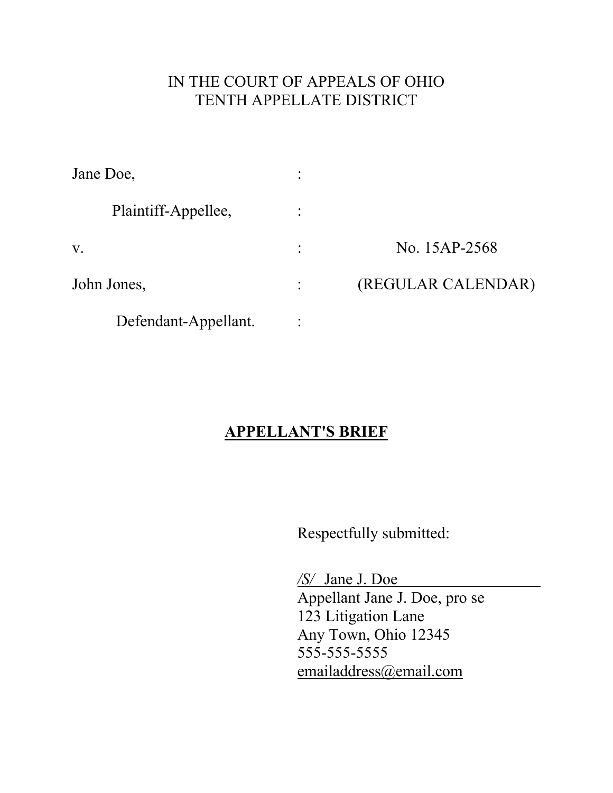### IN THE COURT OF APPEALS OF OHIO TENTH APPELLATE DISTRICT

| Jane Doe,            | ٠              |                    |
|----------------------|----------------|--------------------|
| Plaintiff-Appellee,  |                |                    |
| V.                   | $\ddot{\cdot}$ | No. 15AP-2568      |
| John Jones,          |                | (REGULAR CALENDAR) |
| Defendant-Appellant. |                |                    |

## **APPELLANT'S BRIEF**

Respectfully submitted:

 */S/* Jane J. Doe Appellant Jane J. Doe, pro se 123 Litigation Lane Any Town, Ohio 12345 555-555-5555 [emailaddress@email.com](mailto:emailaddress@email.com)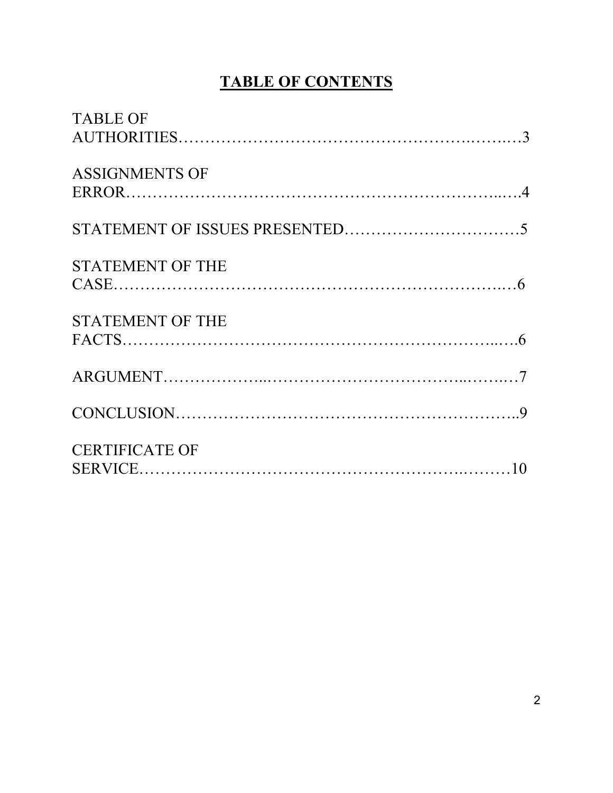# **TABLE OF CONTENTS**

| <b>TABLE OF</b>         |
|-------------------------|
|                         |
| <b>ASSIGNMENTS OF</b>   |
|                         |
|                         |
| <b>STATEMENT OF THE</b> |
|                         |
| <b>STATEMENT OF THE</b> |
|                         |
|                         |
|                         |
| <b>CERTIFICATE OF</b>   |
|                         |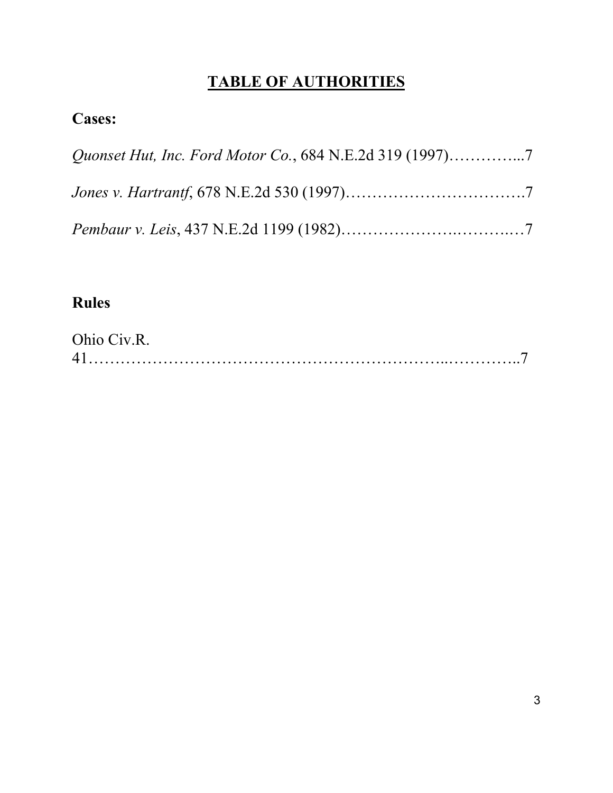# **TABLE OF AUTHORITIES**

### **Cases:**

## **Rules**

| Ohio Civ.R. |  |
|-------------|--|
| $\Delta$ 1  |  |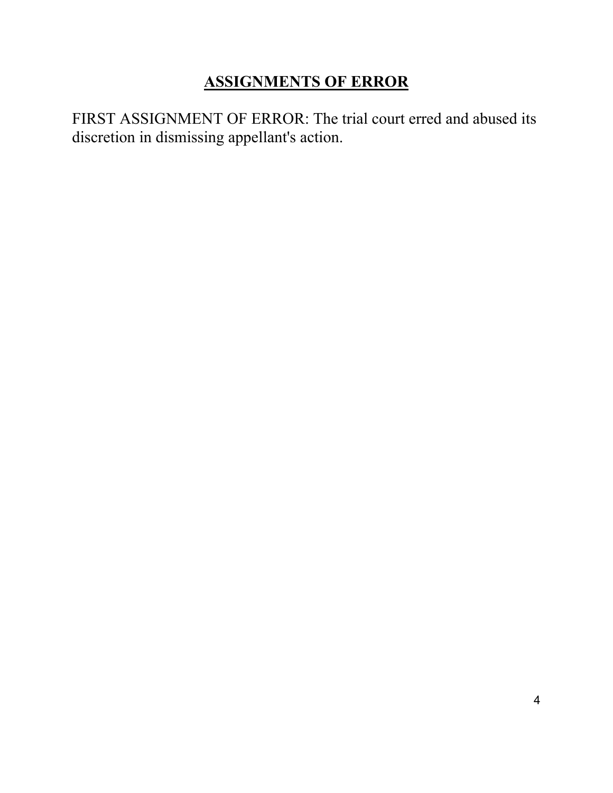## **ASSIGNMENTS OF ERROR**

FIRST ASSIGNMENT OF ERROR: The trial court erred and abused its discretion in dismissing appellant's action.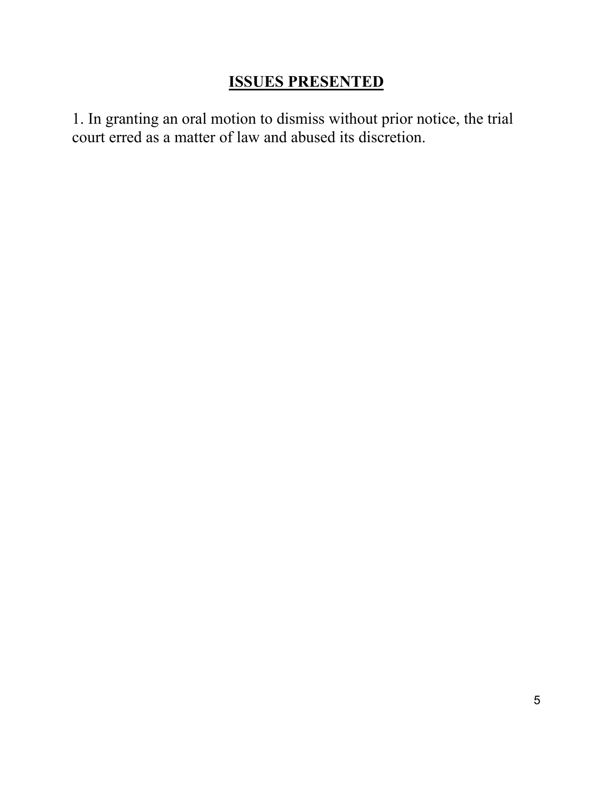### **ISSUES PRESENTED**

1. In granting an oral motion to dismiss without prior notice, the trial court erred as a matter of law and abused its discretion.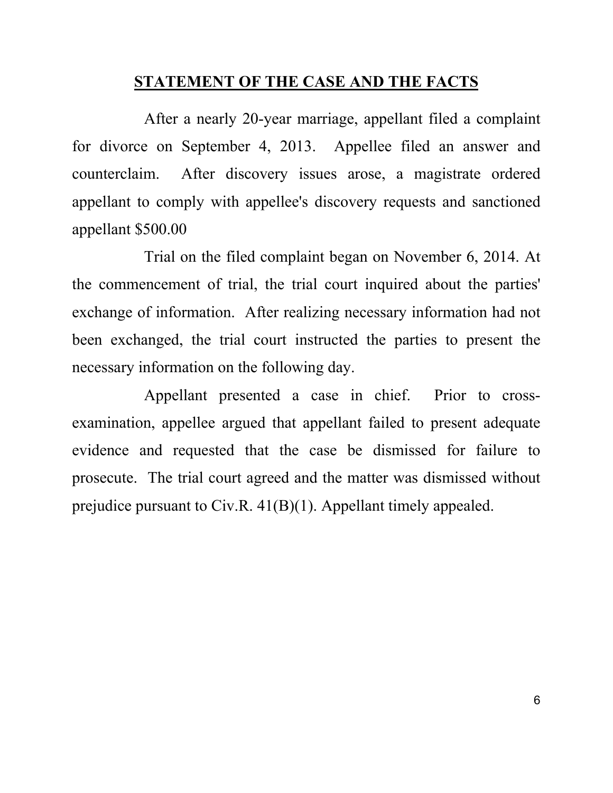#### **STATEMENT OF THE CASE AND THE FACTS**

After a nearly 20-year marriage, appellant filed a complaint for divorce on September 4, 2013. Appellee filed an answer and counterclaim. After discovery issues arose, a magistrate ordered appellant to comply with appellee's discovery requests and sanctioned appellant \$500.00

 Trial on the filed complaint began on November 6, 2014. At the commencement of trial, the trial court inquired about the parties' exchange of information. After realizing necessary information had not been exchanged, the trial court instructed the parties to present the necessary information on the following day.

Appellant presented a case in chief. Prior to crossexamination, appellee argued that appellant failed to present adequate evidence and requested that the case be dismissed for failure to prosecute. The trial court agreed and the matter was dismissed without prejudice pursuant to Civ.R. 41(B)(1). Appellant timely appealed.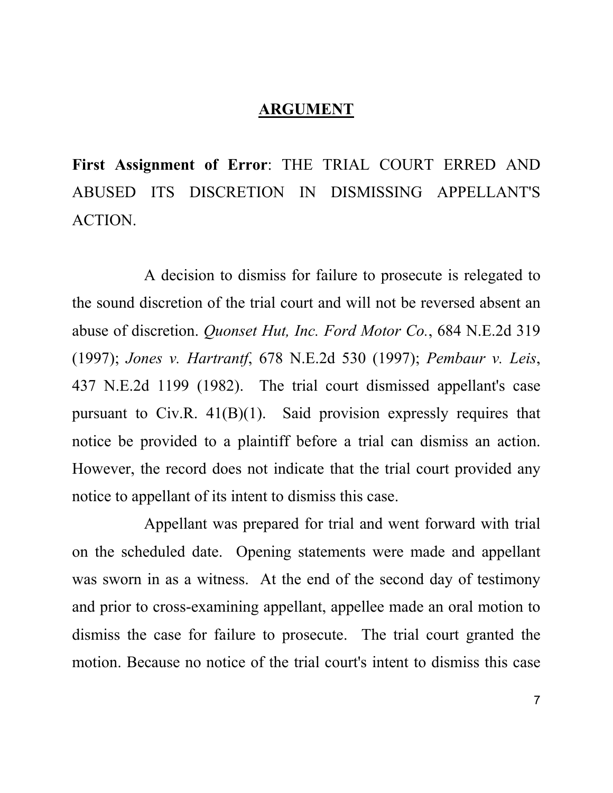#### **ARGUMENT**

**First Assignment of Error**: THE TRIAL COURT ERRED AND ABUSED ITS DISCRETION IN DISMISSING APPELLANT'S ACTION.

 A decision to dismiss for failure to prosecute is relegated to the sound discretion of the trial court and will not be reversed absent an abuse of discretion. *Quonset Hut, Inc. Ford Motor Co.*, 684 N.E.2d 319 (1997); *Jones v. Hartrantf*, 678 N.E.2d 530 (1997); *Pembaur v. Leis*, 437 N.E.2d 1199 (1982). The trial court dismissed appellant's case pursuant to Civ.R. 41(B)(1). Said provision expressly requires that notice be provided to a plaintiff before a trial can dismiss an action. However, the record does not indicate that the trial court provided any notice to appellant of its intent to dismiss this case.

Appellant was prepared for trial and went forward with trial on the scheduled date. Opening statements were made and appellant was sworn in as a witness. At the end of the second day of testimony and prior to cross-examining appellant, appellee made an oral motion to dismiss the case for failure to prosecute. The trial court granted the motion. Because no notice of the trial court's intent to dismiss this case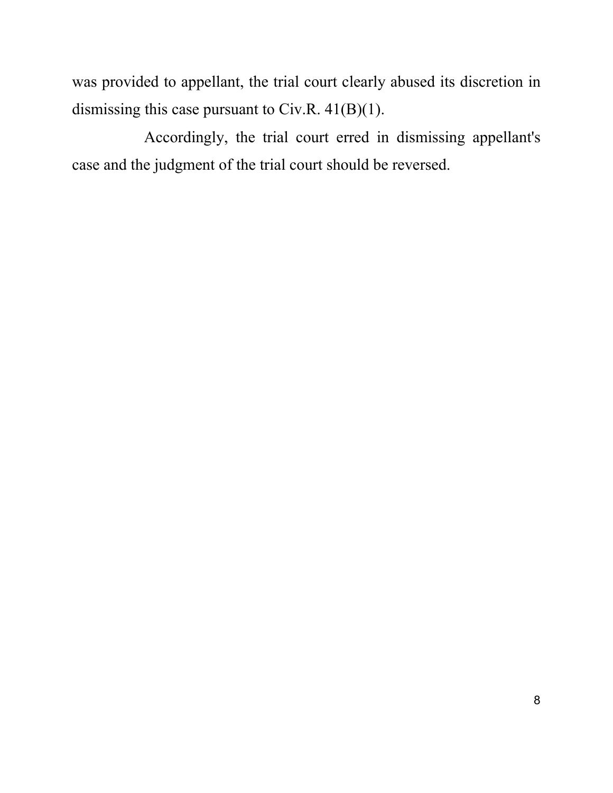was provided to appellant, the trial court clearly abused its discretion in dismissing this case pursuant to Civ.R. 41(B)(1).

Accordingly, the trial court erred in dismissing appellant's case and the judgment of the trial court should be reversed.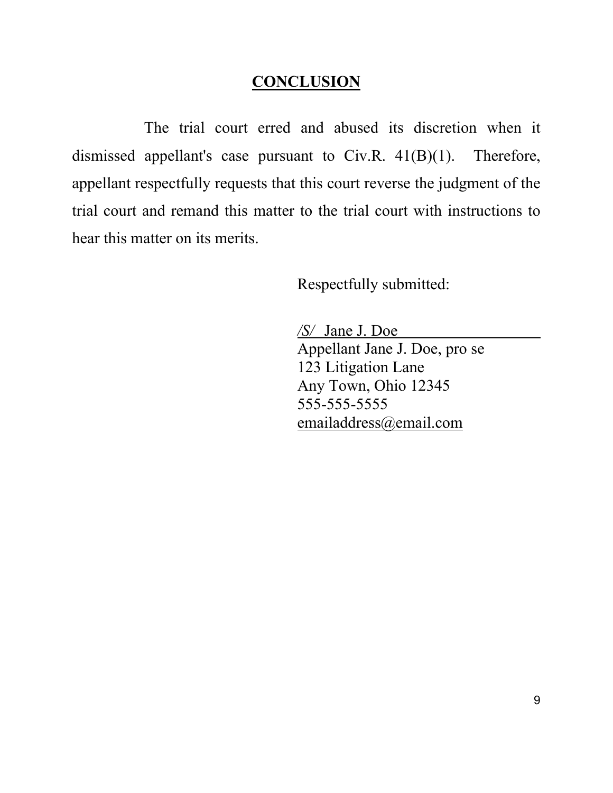#### **CONCLUSION**

The trial court erred and abused its discretion when it dismissed appellant's case pursuant to Civ.R. 41(B)(1). Therefore, appellant respectfully requests that this court reverse the judgment of the trial court and remand this matter to the trial court with instructions to hear this matter on its merits.

Respectfully submitted:

 */S/* Jane J. Doe Appellant Jane J. Doe, pro se 123 Litigation Lane Any Town, Ohio 12345 555-555-5555 [emailaddress@email.com](mailto:emailaddress@email.com)